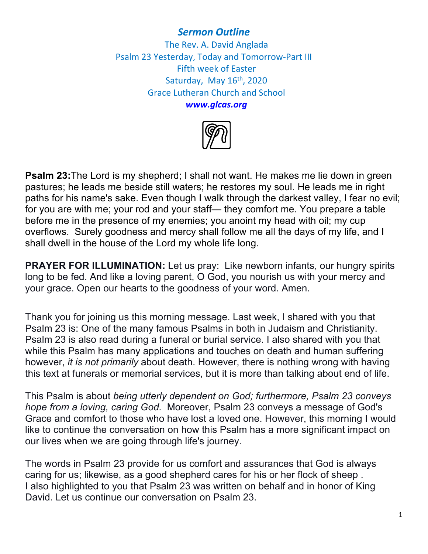## *Sermon Outline*

The Rev. A. David Anglada Psalm 23 Yesterday, Today and Tomorrow-Part III Fifth week of Easter Saturday, May  $16<sup>th</sup>$ , 2020 Grace Lutheran Church and School *www.glcas.org*



**Psalm 23:**The Lord is my shepherd; I shall not want. He makes me lie down in green pastures; he leads me beside still waters; he restores my soul. He leads me in right paths for his name's sake. Even though I walk through the darkest valley, I fear no evil; for you are with me; your rod and your staff— they comfort me. You prepare a table before me in the presence of my enemies; you anoint my head with oil; my cup overflows. Surely goodness and mercy shall follow me all the days of my life, and I shall dwell in the house of the Lord my whole life long.

**PRAYER FOR ILLUMINATION:** Let us pray: Like newborn infants, our hungry spirits long to be fed. And like a loving parent, O God, you nourish us with your mercy and your grace. Open our hearts to the goodness of your word. Amen.

Thank you for joining us this morning message. Last week, I shared with you that Psalm 23 is: One of the many famous Psalms in both in Judaism and Christianity. Psalm 23 is also read during a funeral or burial service. I also shared with you that while this Psalm has many applications and touches on death and human suffering however, *it is not primarily* about death. However, there is nothing wrong with having this text at funerals or memorial services, but it is more than talking about end of life.

This Psalm is about *being utterly dependent on God; furthermore, Psalm 23 conveys hope from a loving, caring God.* Moreover, Psalm 23 conveys a message of God's Grace and comfort to those who have lost a loved one. However, this morning I would like to continue the conversation on how this Psalm has a more significant impact on our lives when we are going through life's journey.

The words in Psalm 23 provide for us comfort and assurances that God is always caring for us; likewise, as a good shepherd cares for his or her flock of sheep . I also highlighted to you that Psalm 23 was written on behalf and in honor of King David. Let us continue our conversation on Psalm 23.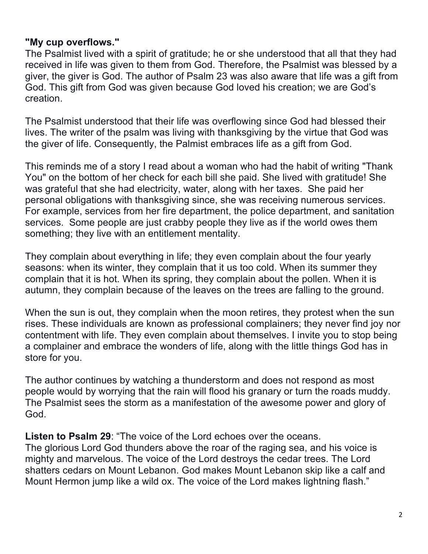## **"My cup overflows."**

The Psalmist lived with a spirit of gratitude; he or she understood that all that they had received in life was given to them from God. Therefore, the Psalmist was blessed by a giver, the giver is God. The author of Psalm 23 was also aware that life was a gift from God. This gift from God was given because God loved his creation; we are God's creation.

The Psalmist understood that their life was overflowing since God had blessed their lives. The writer of the psalm was living with thanksgiving by the virtue that God was the giver of life. Consequently, the Palmist embraces life as a gift from God.

This reminds me of a story I read about a woman who had the habit of writing "Thank You" on the bottom of her check for each bill she paid. She lived with gratitude! She was grateful that she had electricity, water, along with her taxes. She paid her personal obligations with thanksgiving since, she was receiving numerous services. For example, services from her fire department, the police department, and sanitation services. Some people are just crabby people they live as if the world owes them something; they live with an entitlement mentality.

They complain about everything in life; they even complain about the four yearly seasons: when its winter, they complain that it us too cold. When its summer they complain that it is hot. When its spring, they complain about the pollen. When it is autumn, they complain because of the leaves on the trees are falling to the ground.

When the sun is out, they complain when the moon retires, they protest when the sun rises. These individuals are known as professional complainers; they never find joy nor contentment with life. They even complain about themselves. I invite you to stop being a complainer and embrace the wonders of life, along with the little things God has in store for you.

The author continues by watching a thunderstorm and does not respond as most people would by worrying that the rain will flood his granary or turn the roads muddy. The Psalmist sees the storm as a manifestation of the awesome power and glory of God.

**Listen to Psalm 29**: "The voice of the Lord echoes over the oceans. The glorious Lord God thunders above the roar of the raging sea, and his voice is mighty and marvelous. The voice of the Lord destroys the cedar trees. The Lord shatters cedars on Mount Lebanon. God makes Mount Lebanon skip like a calf and Mount Hermon jump like a wild ox. The voice of the Lord makes lightning flash."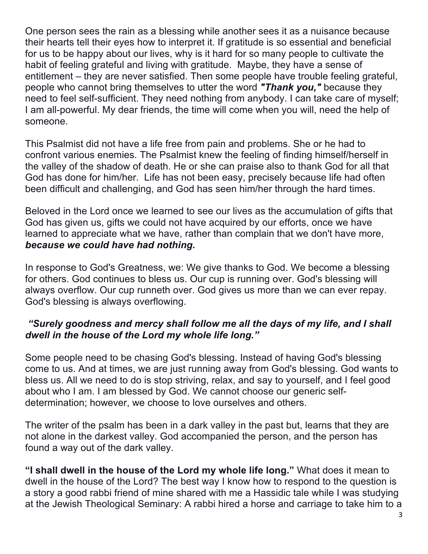One person sees the rain as a blessing while another sees it as a nuisance because their hearts tell their eyes how to interpret it. If gratitude is so essential and beneficial for us to be happy about our lives, why is it hard for so many people to cultivate the habit of feeling grateful and living with gratitude. Maybe, they have a sense of entitlement – they are never satisfied. Then some people have trouble feeling grateful, people who cannot bring themselves to utter the word *"Thank you,"* because they need to feel self-sufficient. They need nothing from anybody. I can take care of myself; I am all-powerful. My dear friends, the time will come when you will, need the help of someone.

This Psalmist did not have a life free from pain and problems. She or he had to confront various enemies. The Psalmist knew the feeling of finding himself/herself in the valley of the shadow of death. He or she can praise also to thank God for all that God has done for him/her. Life has not been easy, precisely because life had often been difficult and challenging, and God has seen him/her through the hard times.

Beloved in the Lord once we learned to see our lives as the accumulation of gifts that God has given us, gifts we could not have acquired by our efforts, once we have learned to appreciate what we have, rather than complain that we don't have more, *because we could have had nothing.*

In response to God's Greatness, we: We give thanks to God. We become a blessing for others. God continues to bless us. Our cup is running over. God's blessing will always overflow. Our cup runneth over. God gives us more than we can ever repay. God's blessing is always overflowing.

## *"Surely goodness and mercy shall follow me all the days of my life, and I shall dwell in the house of the Lord my whole life long."*

Some people need to be chasing God's blessing. Instead of having God's blessing come to us. And at times, we are just running away from God's blessing. God wants to bless us. All we need to do is stop striving, relax, and say to yourself, and I feel good about who I am. I am blessed by God. We cannot choose our generic selfdetermination; however, we choose to love ourselves and others.

The writer of the psalm has been in a dark valley in the past but, learns that they are not alone in the darkest valley. God accompanied the person, and the person has found a way out of the dark valley.

**"I shall dwell in the house of the Lord my whole life long."** What does it mean to dwell in the house of the Lord? The best way I know how to respond to the question is a story a good rabbi friend of mine shared with me a Hassidic tale while I was studying at the Jewish Theological Seminary: A rabbi hired a horse and carriage to take him to a